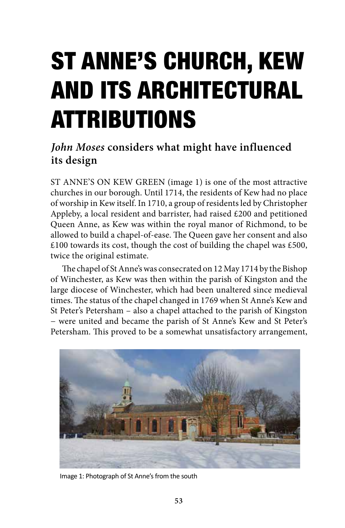## ST ANNE'S CHURCH, KEW AND ITS ARCHITECTURAL ATTRIBUTIONS

## *John Moses* **considers what might have influenced its design**

ST ANNE'S ON KEW GREEN (image 1) is one of the most attractive churches in our borough. Until 1714, the residents of Kew had no place of worship in Kew itself. In 1710, a group of residents led by Christopher Appleby, a local resident and barrister, had raised £200 and petitioned Queen Anne, as Kew was within the royal manor of Richmond, to be allowed to build a chapel-of-ease. The Queen gave her consent and also £100 towards its cost, though the cost of building the chapel was £500, twice the original estimate.

The chapel of St Anne's was consecrated on 12 May 1714 by the Bishop of Winchester, as Kew was then within the parish of Kingston and the large diocese of Winchester, which had been unaltered since medieval times. The status of the chapel changed in 1769 when St Anne's Kew and St Peter's Petersham – also a chapel attached to the parish of Kingston − were united and became the parish of St Anne's Kew and St Peter's Petersham. This proved to be a somewhat unsatisfactory arrangement,



Image 1: Photograph of St Anne's from the south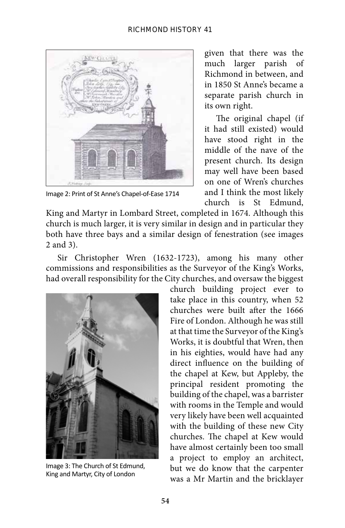

Image 2: Print of St Anne's Chapel-of-Ease 1714

given that there was the much larger parish of Richmond in between, and in 1850 St Anne's became a separate parish church in its own right.

The original chapel (if it had still existed) would have stood right in the middle of the nave of the present church. Its design may well have been based on one of Wren's churches and I think the most likely church is St Edmund,

King and Martyr in Lombard Street, completed in 1674. Although this church is much larger, it is very similar in design and in particular they both have three bays and a similar design of fenestration (see images 2 and 3).

Sir Christopher Wren (1632-1723), among his many other commissions and responsibilities as the Surveyor of the King's Works, had overall responsibility for the City churches, and oversaw the biggest



Image 3: The Church of St Edmund, King and Martyr, City of London

church building project ever to take place in this country, when 52 churches were built after the 1666 Fire of London. Although he was still at that time the Surveyor of the King's Works, it is doubtful that Wren, then in his eighties, would have had any direct influence on the building of the chapel at Kew, but Appleby, the principal resident promoting the building of the chapel, was a barrister with rooms in the Temple and would very likely have been well acquainted with the building of these new City churches. The chapel at Kew would have almost certainly been too small a project to employ an architect, but we do know that the carpenter was a Mr Martin and the bricklayer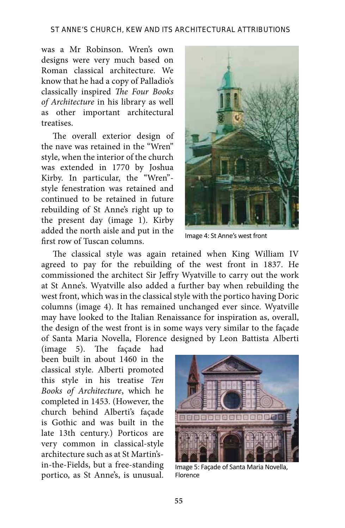was a Mr Robinson. Wren's own designs were very much based on Roman classical architecture. We know that he had a copy of Palladio's classically inspired *The Four Books of Architecture* in his library as well as other important architectural treatises.

The overall exterior design of the nave was retained in the "Wren" style, when the interior of the church was extended in 1770 by Joshua Kirby. In particular, the "Wren" style fenestration was retained and continued to be retained in future rebuilding of St Anne's right up to the present day (image 1). Kirby added the north aisle and put in the first row of Tuscan columns.



Image 4: St Anne's west front

The classical style was again retained when King William IV agreed to pay for the rebuilding of the west front in 1837. He commissioned the architect Sir Jeffry Wyatville to carry out the work at St Anne's. Wyatville also added a further bay when rebuilding the west front, which was in the classical style with the portico having Doric columns (image 4). It has remained unchanged ever since. Wyatville may have looked to the Italian Renaissance for inspiration as, overall, the design of the west front is in some ways very similar to the façade of Santa Maria Novella, Florence designed by Leon Battista Alberti

(image 5). The façade had been built in about 1460 in the classical style. Alberti promoted this style in his treatise *Ten Books of Architecture*, which he completed in 1453. (However, the church behind Alberti's façade is Gothic and was built in the late 13th century.) Porticos are very common in classical-style architecture such as at St Martin'sin-the-Fields, but a free-standing portico, as St Anne's, is unusual.



Image 5: Façade of Santa Maria Novella, Florence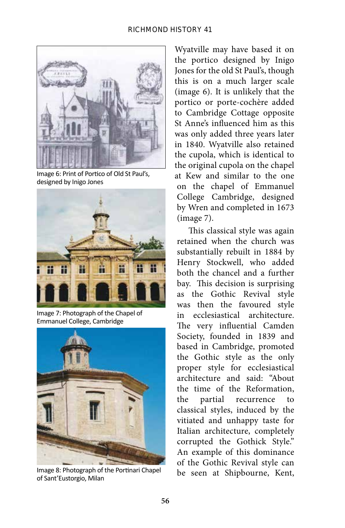

Image 6: Print of Portico of Old St Paul's, designed by Inigo Jones



Image 7: Photograph of the Chapel of Emmanuel College, Cambridge



Image 8: Photograph of the Portinari Chapel of Sant'Eustorgio, Milan

Wyatville may have based it on the portico designed by Inigo Jones for the old St Paul's, though this is on a much larger scale (image 6). It is unlikely that the portico or porte-cochère added to Cambridge Cottage opposite St Anne's influenced him as this was only added three years later in 1840. Wyatville also retained the cupola, which is identical to the original cupola on the chapel at Kew and similar to the one on the chapel of Emmanuel College Cambridge, designed by Wren and completed in 1673 (image 7).

This classical style was again retained when the church was substantially rebuilt in 1884 by Henry Stockwell, who added both the chancel and a further bay. This decision is surprising as the Gothic Revival style was then the favoured style in ecclesiastical architecture. The very influential Camden Society, founded in 1839 and based in Cambridge, promoted the Gothic style as the only proper style for ecclesiastical architecture and said: "About the time of the Reformation, the partial recurrence to classical styles, induced by the vitiated and unhappy taste for Italian architecture, completely corrupted the Gothick Style." An example of this dominance of the Gothic Revival style can be seen at Shipbourne, Kent,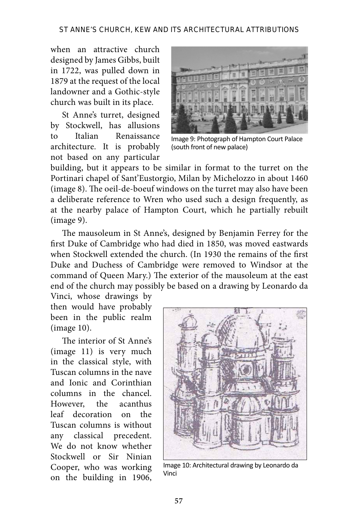when an attractive church designed by James Gibbs, built in 1722, was pulled down in 1879 at the request of the local landowner and a Gothic-style church was built in its place.

St Anne's turret, designed by Stockwell, has allusions to Italian Renaissance architecture. It is probably not based on any particular



Image 9: Photograph of Hampton Court Palace (south front of new palace)

building, but it appears to be similar in format to the turret on the Portinari chapel of Sant'Eustorgio, Milan by Michelozzo in about 1460 (image 8). The oeil-de-boeuf windows on the turret may also have been a deliberate reference to Wren who used such a design frequently, as at the nearby palace of Hampton Court, which he partially rebuilt (image 9).

The mausoleum in St Anne's, designed by Benjamin Ferrey for the first Duke of Cambridge who had died in 1850, was moved eastwards when Stockwell extended the church. (In 1930 the remains of the first Duke and Duchess of Cambridge were removed to Windsor at the command of Queen Mary.) The exterior of the mausoleum at the east end of the church may possibly be based on a drawing by Leonardo da

Vinci, whose drawings by then would have probably been in the public realm (image 10).

The interior of St Anne's (image 11) is very much in the classical style, with Tuscan columns in the nave and Ionic and Corinthian columns in the chancel. However, the acanthus leaf decoration on the Tuscan columns is without any classical precedent. We do not know whether Stockwell or Sir Ninian Cooper, who was working on the building in 1906,



Image 10: Architectural drawing by Leonardo da Vinci